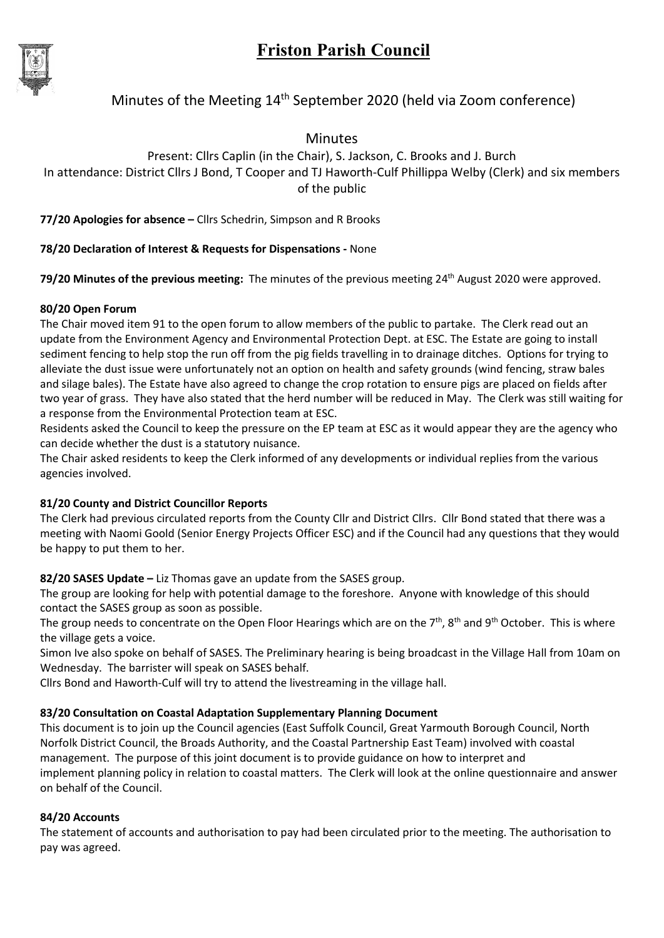

# Minutes of the Meeting  $14<sup>th</sup>$  September 2020 (held via Zoom conference)

Minutes

Present: Cllrs Caplin (in the Chair), S. Jackson, C. Brooks and J. Burch In attendance: District Cllrs J Bond, T Cooper and TJ Haworth-Culf Phillippa Welby (Clerk) and six members of the public

77/20 Apologies for absence – Cllrs Schedrin, Simpson and R Brooks

# 78/20 Declaration of Interest & Requests for Dispensations - None

**79/20 Minutes of the previous meeting:** The minutes of the previous meeting  $24<sup>th</sup>$  August 2020 were approved.

# 80/20 Open Forum

The Chair moved item 91 to the open forum to allow members of the public to partake. The Clerk read out an update from the Environment Agency and Environmental Protection Dept. at ESC. The Estate are going to install sediment fencing to help stop the run off from the pig fields travelling in to drainage ditches. Options for trying to alleviate the dust issue were unfortunately not an option on health and safety grounds (wind fencing, straw bales and silage bales). The Estate have also agreed to change the crop rotation to ensure pigs are placed on fields after two year of grass. They have also stated that the herd number will be reduced in May. The Clerk was still waiting for a response from the Environmental Protection team at ESC.

Residents asked the Council to keep the pressure on the EP team at ESC as it would appear they are the agency who can decide whether the dust is a statutory nuisance.

The Chair asked residents to keep the Clerk informed of any developments or individual replies from the various agencies involved.

# 81/20 County and District Councillor Reports

The Clerk had previous circulated reports from the County Cllr and District Cllrs. Cllr Bond stated that there was a meeting with Naomi Goold (Senior Energy Projects Officer ESC) and if the Council had any questions that they would be happy to put them to her.

82/20 SASES Update - Liz Thomas gave an update from the SASES group.

The group are looking for help with potential damage to the foreshore. Anyone with knowledge of this should contact the SASES group as soon as possible.

The group needs to concentrate on the Open Floor Hearings which are on the  $7<sup>th</sup>$ ,  $8<sup>th</sup>$  and  $9<sup>th</sup>$  October. This is where the village gets a voice.

Simon Ive also spoke on behalf of SASES. The Preliminary hearing is being broadcast in the Village Hall from 10am on Wednesday. The barrister will speak on SASES behalf.

Cllrs Bond and Haworth-Culf will try to attend the livestreaming in the village hall.

# 83/20 Consultation on Coastal Adaptation Supplementary Planning Document

This document is to join up the Council agencies (East Suffolk Council, Great Yarmouth Borough Council, North Norfolk District Council, the Broads Authority, and the Coastal Partnership East Team) involved with coastal management. The purpose of this joint document is to provide guidance on how to interpret and implement planning policy in relation to coastal matters. The Clerk will look at the online questionnaire and answer on behalf of the Council.

# 84/20 Accounts

The statement of accounts and authorisation to pay had been circulated prior to the meeting. The authorisation to pay was agreed.